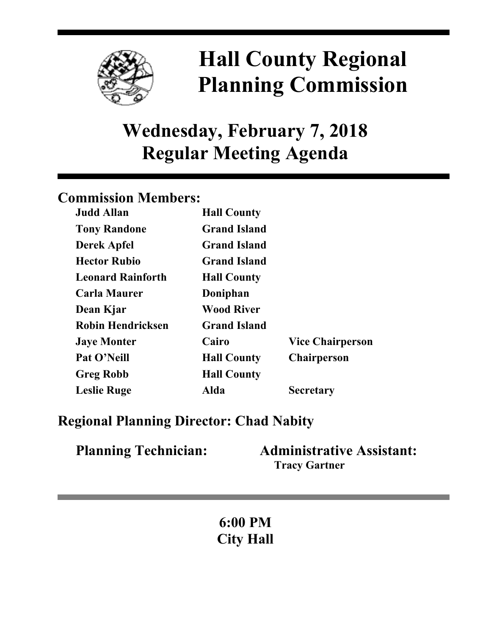

# **Hall County Regional Planning Commission**

## **Wednesday, February 7, 2018 Regular Meeting Agenda**

## **Commission Members:**

| <b>Judd Allan</b>        | <b>Hall County</b>  |                         |
|--------------------------|---------------------|-------------------------|
| <b>Tony Randone</b>      | <b>Grand Island</b> |                         |
| <b>Derek Apfel</b>       | <b>Grand Island</b> |                         |
| <b>Hector Rubio</b>      | <b>Grand Island</b> |                         |
| <b>Leonard Rainforth</b> | <b>Hall County</b>  |                         |
| <b>Carla Maurer</b>      | Doniphan            |                         |
| Dean Kjar                | <b>Wood River</b>   |                         |
| <b>Robin Hendricksen</b> | <b>Grand Island</b> |                         |
| <b>Jaye Monter</b>       | Cairo               | <b>Vice Chairperson</b> |
| Pat O'Neill              | <b>Hall County</b>  | <b>Chairperson</b>      |
| <b>Greg Robb</b>         | <b>Hall County</b>  |                         |
| <b>Leslie Ruge</b>       | Alda                | <b>Secretary</b>        |

## **Regional Planning Director: Chad Nabity**

| <b>Planning Technician:</b> | <b>Administrative Assistant:</b> |  |
|-----------------------------|----------------------------------|--|
|                             | <b>Tracy Gartner</b>             |  |

**6:00 PM City Hall**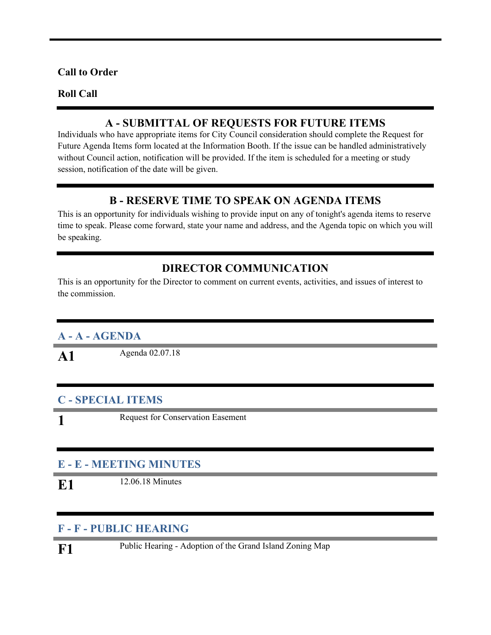#### **Call to Order**

#### **Roll Call**

#### **A - SUBMITTAL OF REQUESTS FOR FUTURE ITEMS**

Individuals who have appropriate items for City Council consideration should complete the Request for Future Agenda Items form located at the Information Booth. If the issue can be handled administratively without Council action, notification will be provided. If the item is scheduled for a meeting or study session, notification of the date will be given.

#### **B - RESERVE TIME TO SPEAK ON AGENDA ITEMS**

This is an opportunity for individuals wishing to provide input on any of tonight's agenda items to reserve time to speak. Please come forward, state your name and address, and the Agenda topic on which you will be speaking.

#### **DIRECTOR COMMUNICATION**

This is an opportunity for the Director to comment on current events, activities, and issues of interest to the commission.

#### **A - A - AGENDA**

**A1** Agenda 02.07.18

#### **C - SPECIAL ITEMS**

**1**

Request for Conservation Easement

#### **E - E - MEETING MINUTES**

**E1** 12.06.18 Minutes

#### **F - F - PUBLIC HEARING**

**F1** Public Hearing - Adoption of the Grand Island Zoning Map